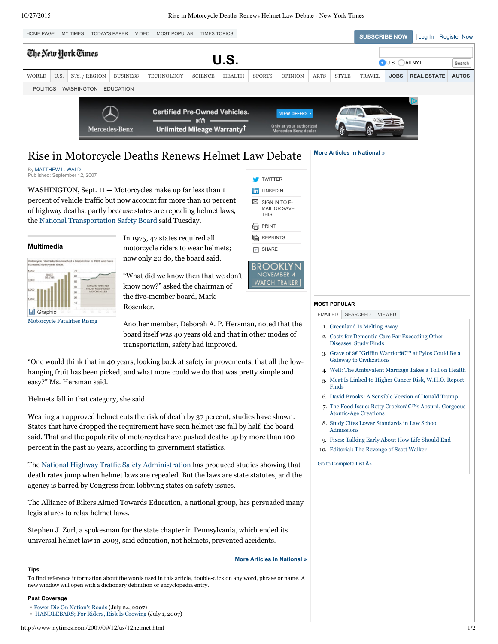